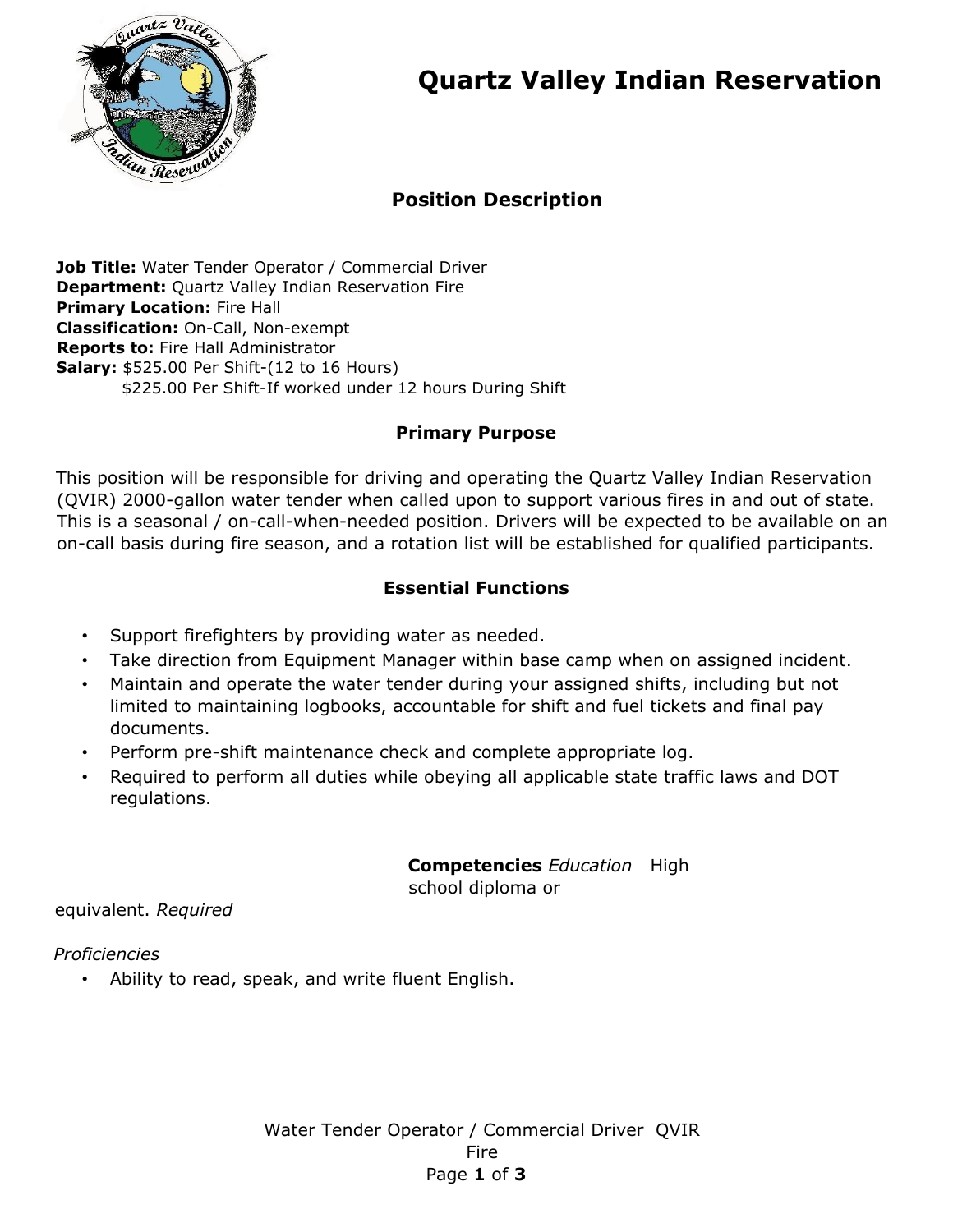

# **Quartz Valley Indian Reservation**

## **Position Description**

**Job Title:** Water Tender Operator / Commercial Driver **Department:** Quartz Valley Indian Reservation Fire **Primary Location: Fire Hall Classification:** On-Call, Non-exempt **Reports to:** Fire Hall Administrator **Salary:** \$525.00 Per Shift-(12 to 16 Hours) \$225.00 Per Shift-If worked under 12 hours During Shift

### **Primary Purpose**

This position will be responsible for driving and operating the Quartz Valley Indian Reservation (QVIR) 2000-gallon water tender when called upon to support various fires in and out of state. This is a seasonal / on-call-when-needed position. Drivers will be expected to be available on an on-call basis during fire season, and a rotation list will be established for qualified participants.

## **Essential Functions**

- Support firefighters by providing water as needed.
- Take direction from Equipment Manager within base camp when on assigned incident.
- Maintain and operate the water tender during your assigned shifts, including but not limited to maintaining logbooks, accountable for shift and fuel tickets and final pay documents.
- Perform pre-shift maintenance check and complete appropriate log.
- Required to perform all duties while obeying all applicable state traffic laws and DOT regulations.

**Competencies** *Education* High school diploma or

equivalent. *Required*

*Proficiencies* 

• Ability to read, speak, and write fluent English.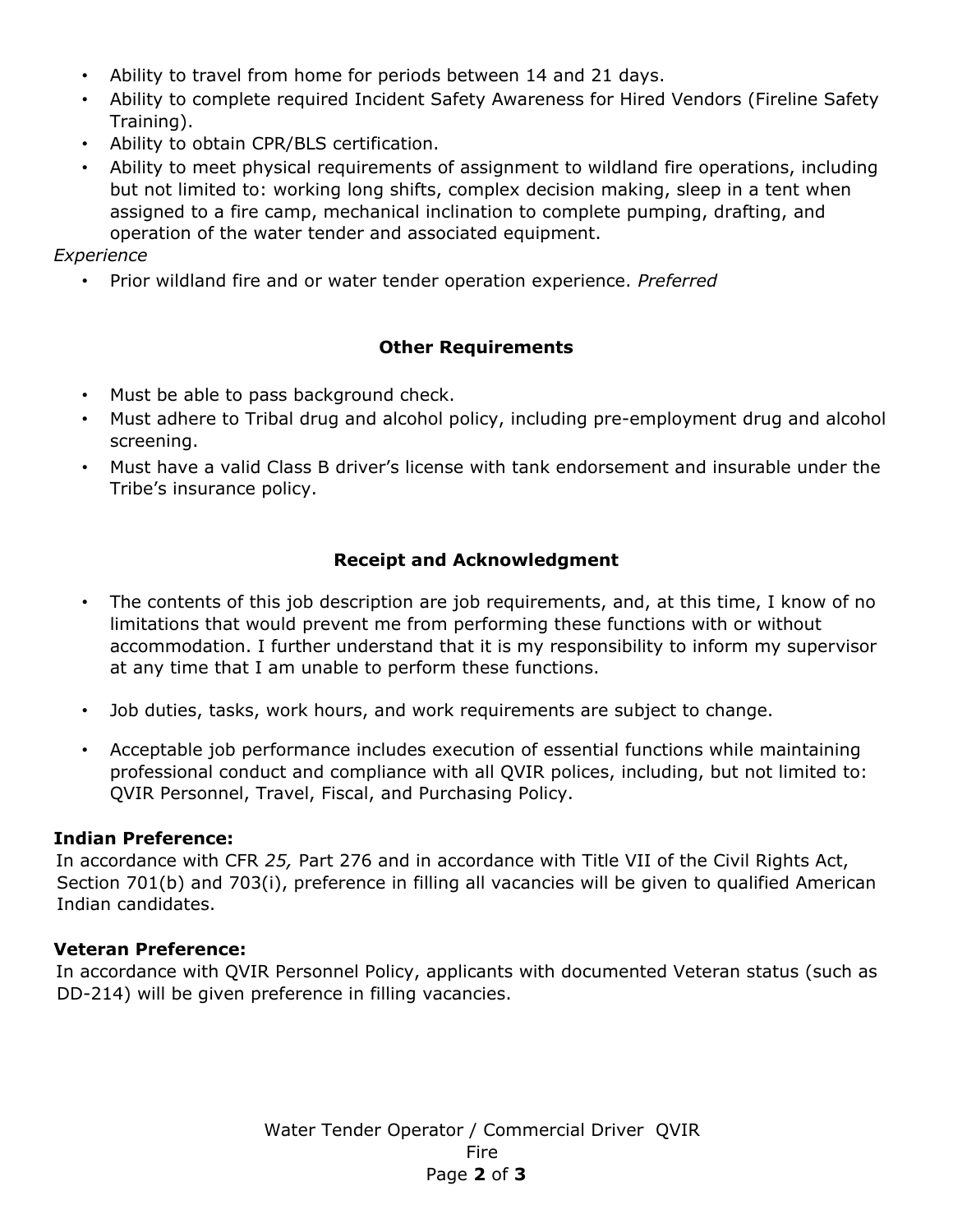- Ability to travel from home for periods between 14 and 21 days.
- Ability to complete required Incident Safety Awareness for Hired Vendors (Fireline Safety Training).
- Ability to obtain CPR/BLS certification.
- Ability to meet physical requirements of assignment to wildland fire operations, including but not limited to: working long shifts, complex decision making, sleep in a tent when assigned to a fire camp, mechanical inclination to complete pumping, drafting, and operation of the water tender and associated equipment.

*Experience* 

• Prior wildland fire and or water tender operation experience. *Preferred* 

### **Other Requirements**

- Must be able to pass background check.
- Must adhere to Tribal drug and alcohol policy, including pre-employment drug and alcohol screening.
- Must have a valid Class B driver's license with tank endorsement and insurable under the Tribe's insurance policy.

### **Receipt and Acknowledgment**

- The contents of this job description are job requirements, and, at this time, I know of no limitations that would prevent me from performing these functions with or without accommodation. I further understand that it is my responsibility to inform my supervisor at any time that I am unable to perform these functions.
- Job duties, tasks, work hours, and work requirements are subject to change.
- Acceptable job performance includes execution of essential functions while maintaining professional conduct and compliance with all QVIR polices, including, but not limited to: QVIR Personnel, Travel, Fiscal, and Purchasing Policy.

#### **Indian Preference:**

In accordance with CFR *25,* Part 276 and in accordance with Title VII of the Civil Rights Act, Section 701(b) and 703(i), preference in filling all vacancies will be given to qualified American Indian candidates.

#### **Veteran Preference:**

In accordance with QVIR Personnel Policy, applicants with documented Veteran status (such as DD-214) will be given preference in filling vacancies.